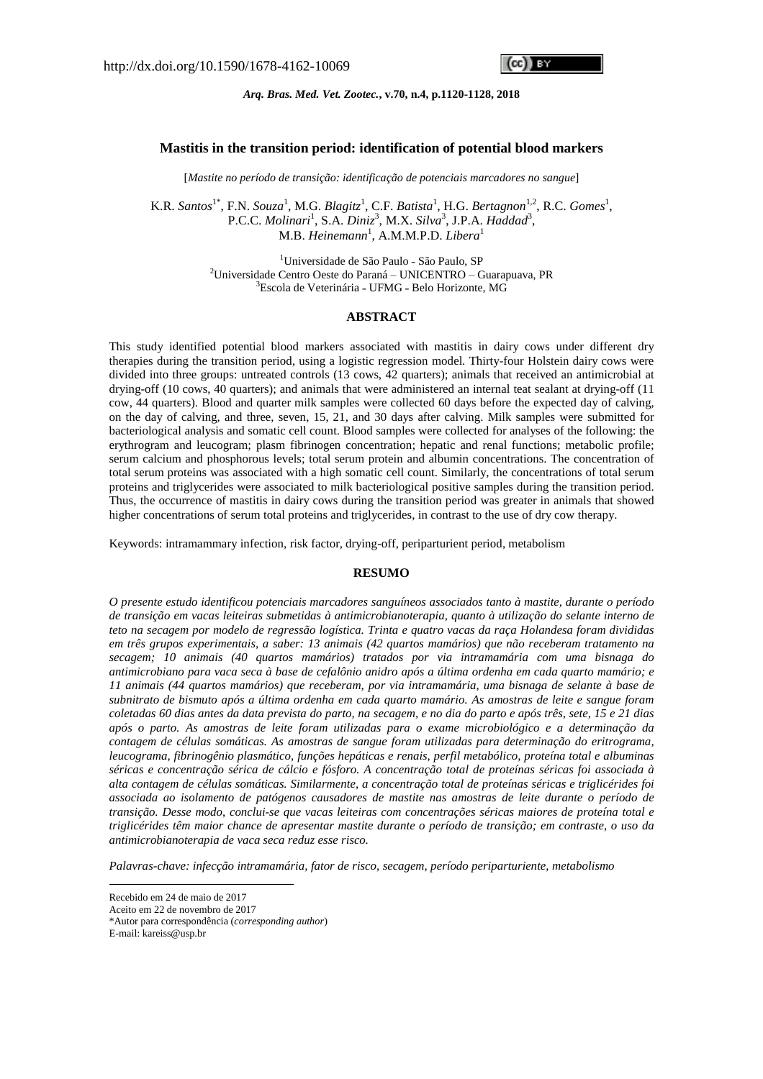cc)) ev

## *Arq. Bras. Med. Vet. Zootec.***, v.70, n.4, p.1120-1128, 2018**

#### **Mastitis in the transition period: identification of potential blood markers**

[*Mastite no período de transição: identificação de potenciais marcadores no sangue*]

K.R. *Santos*<sup>1\*</sup>, F.N. *Souza*<sup>1</sup>, M.G. *Blagitz*<sup>1</sup>, C.F. *Batista*<sup>1</sup>, H.G. *Bertagnon*<sup>1,2</sup>, R.C. *Gomes*<sup>1</sup>, P.C.C. Molinari<sup>1</sup>, S.A. Diniz<sup>3</sup>, M.X. Silva<sup>3</sup>, J.P.A. *Haddad*<sup>3</sup>, M.B. *Heinemann*<sup>1</sup> , A.M.M.P.D. *Libera*<sup>1</sup>

> <sup>1</sup>Universidade de São Paulo - São Paulo, SP <sup>2</sup>Universidade Centro Oeste do Paraná – UNICENTRO – Guarapuava, PR <sup>3</sup>Escola de Veterinária - UFMG - Belo Horizonte, MG

# **ABSTRACT**

This study identified potential blood markers associated with mastitis in dairy cows under different dry therapies during the transition period, using a logistic regression model. Thirty-four Holstein dairy cows were divided into three groups: untreated controls (13 cows, 42 quarters); animals that received an antimicrobial at drying-off (10 cows, 40 quarters); and animals that were administered an internal teat sealant at drying-off (11 cow, 44 quarters). Blood and quarter milk samples were collected 60 days before the expected day of calving, on the day of calving, and three, seven, 15, 21, and 30 days after calving. Milk samples were submitted for bacteriological analysis and somatic cell count. Blood samples were collected for analyses of the following: the erythrogram and leucogram; plasm fibrinogen concentration; hepatic and renal functions; metabolic profile; serum calcium and phosphorous levels; total serum protein and albumin concentrations. The concentration of total serum proteins was associated with a high somatic cell count. Similarly, the concentrations of total serum proteins and triglycerides were associated to milk bacteriological positive samples during the transition period. Thus, the occurrence of mastitis in dairy cows during the transition period was greater in animals that showed higher concentrations of serum total proteins and triglycerides, in contrast to the use of dry cow therapy.

Keywords: intramammary infection, risk factor, drying-off, periparturient period, metabolism

## **RESUMO**

*O presente estudo identificou potenciais marcadores sanguíneos associados tanto à mastite, durante o período de transição em vacas leiteiras submetidas à antimicrobianoterapia, quanto à utilização do selante interno de* teto na secagem por modelo de regressão logística. Trinta e quatro vacas da raça Holandesa foram divididas *em três grupos experimentais, a saber: 13 animais (42 quartos mamários) que não receberam tratamento na secagem; 10 animais (40 quartos mamários) tratados por via intramamária com uma bisnaga do* antimicrobiano para vaca seca à base de cefalônio anidro após a última ordenha em cada quarto mamário; e *11 animais (44 quartos mamários) que receberam, por via intramamária, uma bisnaga de selante à base de* subnitrato de bismuto após a última ordenha em cada quarto mamário. As amostras de leite e sangue foram coletadas 60 dias antes da data prevista do parto, na secagem, e no dia do parto e após três, sete, 15 e 21 dias *após o parto. As amostras de leite foram utilizadas para o exame microbiológico e a determinação da contagem de células somáticas. As amostras de sangue foram utilizadas para determinação do eritrograma, leucograma, fibrinogênio plasmático, funções hepáticas e renais, perfil metabólico, proteína total e albuminas* séricas e concentração sérica de cálcio e fósforo. A concentração total de proteínas séricas foi associada à *alta contagem de células somáticas. Similarmente, a concentração total de proteínas séricas e triglicérides foi associada ao isolamento de patógenos causadores de mastite nas amostras de leite durante o período de transição. Desse modo, conclui-se que vacas leiteiras com concentrações séricas maiores de proteína total e* triglicérides têm maior chance de apresentar mastite durante o período de transição; em contraste, o uso da *antimicrobianoterapia de vaca seca reduz esse risco.*

*Palavras-chave: infecção intramamária, fator de risco, secagem, período periparturiente, metabolismo*

<u>.</u>

Recebido em 24 de maio de 2017

Aceito em 22 de novembro de 2017

<sup>\*</sup>Autor para correspondência (*corresponding author*)

E-mail: kareiss@usp.br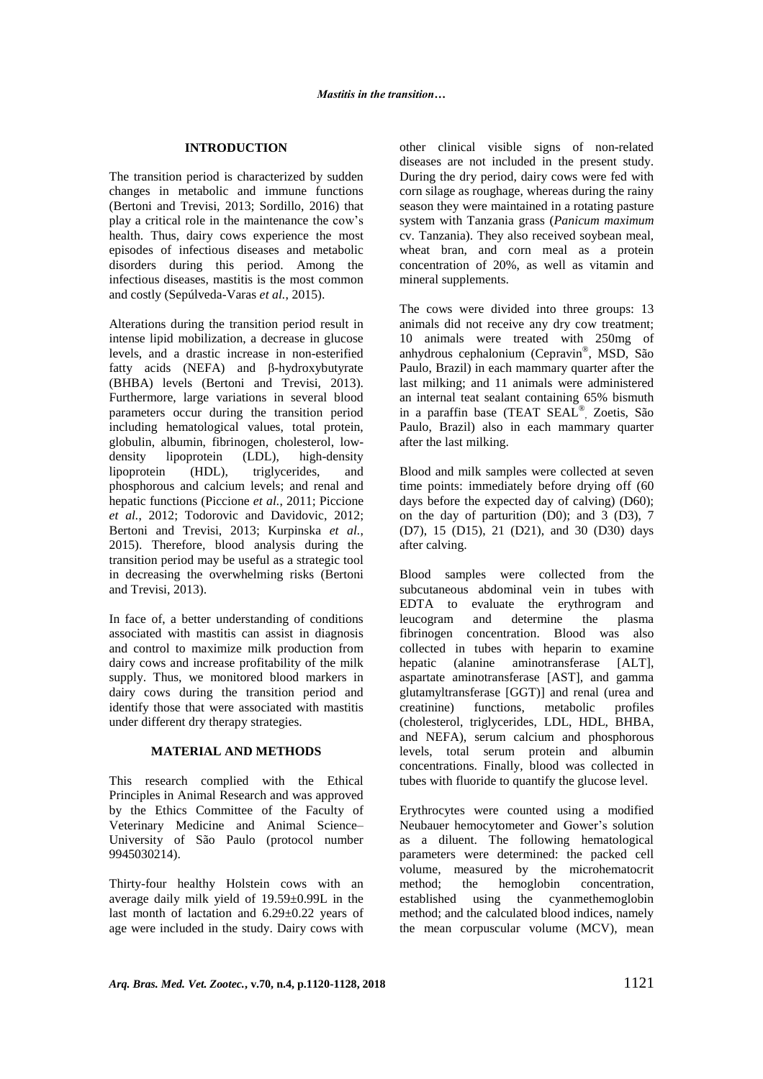# **INTRODUCTION**

The transition period is characterized by sudden changes in metabolic and immune functions (Bertoni and Trevisi, 2013; Sordillo, 2016) that play a critical role in the maintenance the cow's health. Thus, dairy cows experience the most episodes of infectious diseases and metabolic disorders during this period. Among the infectious diseases, mastitis is the most common and costly (Sepúlveda-Varas *et al.*, 2015).

Alterations during the transition period result in intense lipid mobilization, a decrease in glucose levels, and a drastic increase in non-esterified fatty acids (NEFA) and β-hydroxybutyrate (BHBA) levels (Bertoni and Trevisi, 2013). Furthermore, large variations in several blood parameters occur during the transition period including hematological values, total protein, globulin, albumin, fibrinogen, cholesterol, lowdensity lipoprotein (LDL), high-density<br>lipoprotein (HDL), triglycerides, and (HDL), triglycerides, and phosphorous and calcium levels; and renal and hepatic functions (Piccione *et al.*, 2011; Piccione *et al.*, 2012; Todorovic and Davidovic, 2012; Bertoni and Trevisi, 2013; Kurpinska *et al.*, 2015). Therefore, blood analysis during the transition period may be useful as a strategic tool in decreasing the overwhelming risks (Bertoni and Trevisi, 2013).

In face of, a better understanding of conditions associated with mastitis can assist in diagnosis and control to maximize milk production from dairy cows and increase profitability of the milk supply. Thus, we monitored blood markers in dairy cows during the transition period and identify those that were associated with mastitis under different dry therapy strategies.

#### **MATERIAL AND METHODS**

This research complied with the Ethical Principles in Animal Research and was approved by the Ethics Committee of the Faculty of Veterinary Medicine and Animal Science– University of São Paulo (protocol number 9945030214).

Thirty-four healthy Holstein cows with an average daily milk yield of 19.59±0.99L in the last month of lactation and  $6.29 \pm 0.22$  years of age were included in the study. Dairy cows with other clinical visible signs of non-related diseases are not included in the present study. During the dry period, dairy cows were fed with corn silage as roughage, whereas during the rainy season they were maintained in a rotating pasture system with Tanzania grass (*Panicum maximum* cv. Tanzania). They also received soybean meal, wheat bran, and corn meal as a protein concentration of 20%, as well as vitamin and mineral supplements.

The cows were divided into three groups: 13 animals did not receive any dry cow treatment; 10 animals were treated with 250mg of anhydrous cephalonium (Cepravin® , MSD, São Paulo, Brazil) in each mammary quarter after the last milking; and 11 animals were administered an internal teat sealant containing 65% bismuth in a paraffin base (TEAT SEAL® , Zoetis, São Paulo, Brazil) also in each mammary quarter after the last milking.

Blood and milk samples were collected at seven time points: immediately before drying off (60 days before the expected day of calving) (D60); on the day of parturition (D0); and 3 (D3), 7 (D7), 15 (D15), 21 (D21), and 30 (D30) days after calving.

Blood samples were collected from the subcutaneous abdominal vein in tubes with EDTA to evaluate the erythrogram and leucogram and determine the plasma fibrinogen concentration. Blood was also collected in tubes with heparin to examine hepatic (alanine aminotransferase [ALT], aspartate aminotransferase [AST], and gamma glutamyltransferase [GGT)] and renal (urea and creatinine) functions, metabolic profiles metabolic (cholesterol, triglycerides, LDL, HDL, BHBA, and NEFA), serum calcium and phosphorous levels, total serum protein and albumin concentrations. Finally, blood was collected in tubes with fluoride to quantify the glucose level.

Erythrocytes were counted using a modified Neubauer hemocytometer and Gower's solution as a diluent. The following hematological parameters were determined: the packed cell volume, measured by the microhematocrit method; the hemoglobin concentration, established using the cyanmethemoglobin method; and the calculated blood indices, namely the mean corpuscular volume (MCV), mean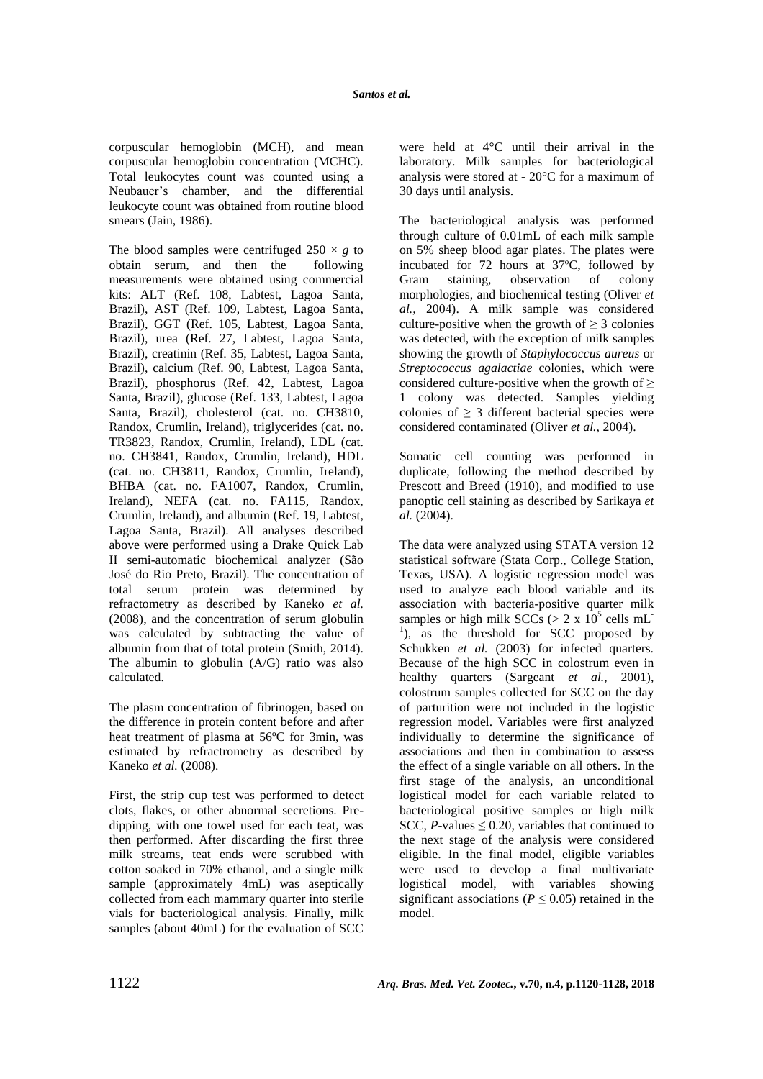corpuscular hemoglobin (MCH), and mean corpuscular hemoglobin concentration (MCHC). Total leukocytes count was counted using a Neubauer's chamber, and the differential leukocyte count was obtained from routine blood smears (Jain, 1986).

The blood samples were centrifuged  $250 \times g$  to obtain serum, and then the following measurements were obtained using commercial kits: ALT (Ref. 108, Labtest, Lagoa Santa, Brazil), AST (Ref. 109, Labtest, Lagoa Santa, Brazil), GGT (Ref. 105, Labtest, Lagoa Santa, Brazil), urea (Ref. 27, Labtest, Lagoa Santa, Brazil), creatinin (Ref. 35, Labtest, Lagoa Santa, Brazil), calcium (Ref. 90, Labtest, Lagoa Santa, Brazil), phosphorus (Ref. 42, Labtest, Lagoa Santa, Brazil), glucose (Ref. 133, Labtest, Lagoa Santa, Brazil), cholesterol (cat. no. CH3810, Randox, Crumlin, Ireland), triglycerides (cat. no. TR3823, Randox, Crumlin, Ireland), LDL (cat. no. CH3841, Randox, Crumlin, Ireland), HDL (cat. no. CH3811, Randox, Crumlin, Ireland), BHBA (cat. no. FA1007, Randox, Crumlin, Ireland), NEFA (cat. no. FA115, Randox, Crumlin, Ireland), and albumin (Ref. 19, Labtest, Lagoa Santa, Brazil). All analyses described above were performed using a Drake Quick Lab II semi-automatic biochemical analyzer (São José do Rio Preto, Brazil). The concentration of total serum protein was determined by refractometry as described by Kaneko *et al.* (2008), and the concentration of serum globulin was calculated by subtracting the value of albumin from that of total protein (Smith, 2014). The albumin to globulin (A/G) ratio was also calculated.

The plasm concentration of fibrinogen, based on the difference in protein content before and after heat treatment of plasma at 56ºC for 3min, was estimated by refractrometry as described by Kaneko *et al.* (2008).

First, the strip cup test was performed to detect clots, flakes, or other abnormal secretions. Predipping, with one towel used for each teat, was then performed. After discarding the first three milk streams, teat ends were scrubbed with cotton soaked in 70% ethanol, and a single milk sample (approximately 4mL) was aseptically collected from each mammary quarter into sterile vials for bacteriological analysis. Finally, milk samples (about 40mL) for the evaluation of SCC

were held at 4°C until their arrival in the laboratory. Milk samples for bacteriological analysis were stored at - 20°C for a maximum of 30 days until analysis.

The bacteriological analysis was performed through culture of 0.01mL of each milk sample on 5% sheep blood agar plates. The plates were incubated for 72 hours at 37ºC, followed by Gram staining, observation of colony morphologies, and biochemical testing (Oliver *et al.,* 2004). A milk sample was considered culture-positive when the growth of  $\geq 3$  colonies was detected, with the exception of milk samples showing the growth of *Staphylococcus aureus* or *Streptococcus agalactiae* colonies, which were considered culture-positive when the growth of  $\geq$ 1 colony was detected. Samples yielding colonies of  $\geq$  3 different bacterial species were considered contaminated (Oliver *et al.,* 2004).

Somatic cell counting was performed in duplicate, following the method described by Prescott and Breed (1910), and modified to use panoptic cell staining as described by Sarikaya *et al.* (2004).

The data were analyzed using STATA version 12 statistical software (Stata Corp., College Station, Texas, USA). A logistic regression model was used to analyze each blood variable and its association with bacteria-positive quarter milk samples or high milk  $SCCs$  ( $> 2 \times 10^5$  cells mL<sup>-</sup>  $\hspace{0.1cm}$ <sup>1</sup>), as the threshold for SCC proposed by Schukken *et al.* (2003) for infected quarters. Because of the high SCC in colostrum even in healthy quarters (Sargeant *et al.,* 2001), colostrum samples collected for SCC on the day of parturition were not included in the logistic regression model. Variables were first analyzed individually to determine the significance of associations and then in combination to assess the effect of a single variable on all others. In the first stage of the analysis, an unconditional logistical model for each variable related to bacteriological positive samples or high milk SCC,  $P$ -values  $\leq$  0.20, variables that continued to the next stage of the analysis were considered eligible. In the final model, eligible variables were used to develop a final multivariate logistical model, with variables showing significant associations ( $P \leq 0.05$ ) retained in the model.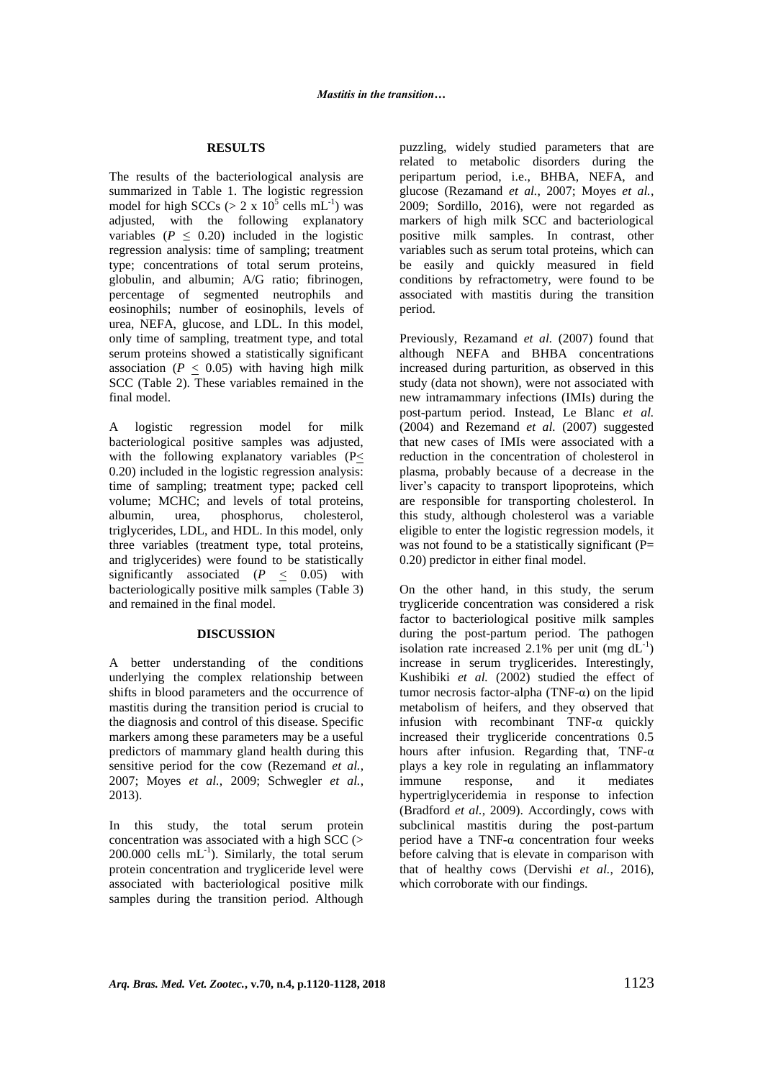### **RESULTS**

The results of the bacteriological analysis are summarized in Table 1. The logistic regression model for high SCCs ( $> 2 \times 10^5$  cells mL<sup>-1</sup>) was adjusted, with the following explanatory variables ( $P \leq 0.20$ ) included in the logistic regression analysis: time of sampling; treatment type; concentrations of total serum proteins, globulin, and albumin; A/G ratio; fibrinogen, percentage of segmented neutrophils and eosinophils; number of eosinophils, levels of urea, NEFA, glucose, and LDL. In this model, only time of sampling, treatment type, and total serum proteins showed a statistically significant association ( $P \leq 0.05$ ) with having high milk SCC (Table 2). These variables remained in the final model.

A logistic regression model for milk bacteriological positive samples was adjusted, with the following explanatory variables (P< 0.20) included in the logistic regression analysis: time of sampling; treatment type; packed cell volume; MCHC; and levels of total proteins, albumin, urea, phosphorus, cholesterol, triglycerides, LDL, and HDL. In this model, only three variables (treatment type, total proteins, and triglycerides) were found to be statistically significantly associated  $(P \le 0.05)$  with bacteriologically positive milk samples (Table 3) and remained in the final model.

#### **DISCUSSION**

A better understanding of the conditions underlying the complex relationship between shifts in blood parameters and the occurrence of mastitis during the transition period is crucial to the diagnosis and control of this disease. Specific markers among these parameters may be a useful predictors of mammary gland health during this sensitive period for the cow (Rezemand *et al.*, 2007; Moyes *et al.*, 2009; Schwegler *et al.*, 2013).

In this study, the total serum protein concentration was associated with a high SCC (>  $200.000$  cells  $mL^{-1}$ ). Similarly, the total serum protein concentration and trygliceride level were associated with bacteriological positive milk samples during the transition period. Although puzzling, widely studied parameters that are related to metabolic disorders during the peripartum period, i.e., BHBA, NEFA, and glucose (Rezamand *et al.*, 2007; Moyes *et al.*, 2009; Sordillo, 2016), were not regarded as markers of high milk SCC and bacteriological positive milk samples. In contrast, other variables such as serum total proteins, which can be easily and quickly measured in field conditions by refractometry, were found to be associated with mastitis during the transition period.

Previously, Rezamand *et al.* (2007) found that although NEFA and BHBA concentrations increased during parturition, as observed in this study (data not shown), were not associated with new intramammary infections (IMIs) during the post-partum period. Instead, Le Blanc *et al.* (2004) and Rezemand *et al.* (2007) suggested that new cases of IMIs were associated with a reduction in the concentration of cholesterol in plasma, probably because of a decrease in the liver's capacity to transport lipoproteins, which are responsible for transporting cholesterol. In this study, although cholesterol was a variable eligible to enter the logistic regression models, it was not found to be a statistically significant  $(P=$ 0.20) predictor in either final model.

On the other hand, in this study, the serum trygliceride concentration was considered a risk factor to bacteriological positive milk samples during the post-partum period. The pathogen isolation rate increased 2.1% per unit (mg  $dL^{-1}$ ) increase in serum tryglicerides. Interestingly, Kushibiki *et al.* (2002) studied the effect of tumor necrosis factor-alpha (TNF-α) on the lipid metabolism of heifers, and they observed that infusion with recombinant TNF-α quickly increased their trygliceride concentrations 0.5 hours after infusion. Regarding that, TNF-α plays a key role in regulating an inflammatory immune response, and it mediates hypertriglyceridemia in response to infection (Bradford *et al.*, 2009). Accordingly, cows with subclinical mastitis during the post-partum period have a TNF-α concentration four weeks before calving that is elevate in comparison with that of healthy cows (Dervishi *et al.*, 2016), which corroborate with our findings.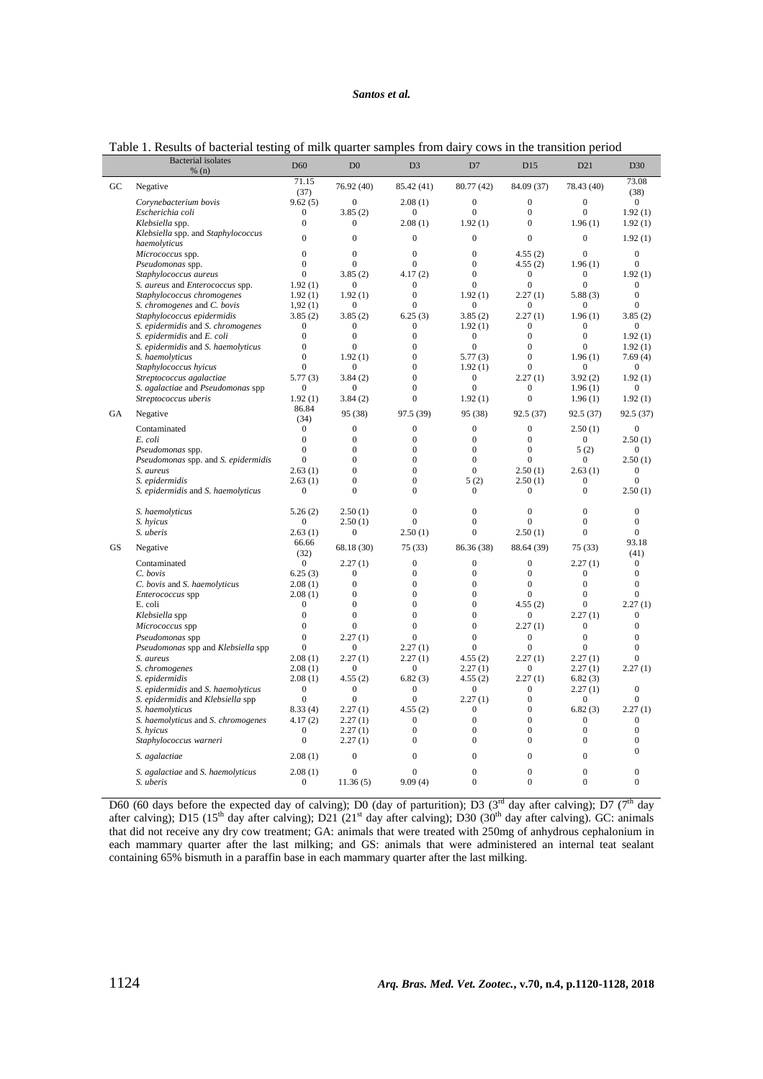# *Santos et al.*

|                  | <b>Bacterial</b> isolates<br>% (n)                       | D <sub>60</sub>                    | D <sub>0</sub>                   | D <sub>3</sub>                 | D7                           | D15                              | D21                            | D <sub>30</sub>             |
|------------------|----------------------------------------------------------|------------------------------------|----------------------------------|--------------------------------|------------------------------|----------------------------------|--------------------------------|-----------------------------|
|                  |                                                          | 71.15                              |                                  |                                |                              |                                  |                                | 73.08                       |
| $_{\mathrm{GC}}$ | Negative                                                 | (37)                               | 76.92 (40)                       | 85.42 (41)                     | 80.77 (42)                   | 84.09 (37)                       | 78.43 (40)                     | (38)                        |
|                  | Corynebacterium bovis                                    | 9.62(5)                            | $\mathbf{0}$                     | 2.08(1)                        | $\overline{0}$               | $\mathbf{0}$                     | $\overline{0}$                 | $\mathbf{0}$                |
|                  | Escherichia coli                                         | $\boldsymbol{0}$                   | 3.85(2)                          | $\mathbf{0}$                   | $\overline{0}$               | $\overline{0}$                   | $\overline{0}$                 | 1.92(1)                     |
|                  | Klebsiella spp.                                          | 0                                  | $\boldsymbol{0}$                 | 2.08(1)                        | 1.92(1)                      | $\mathbf{0}$                     | 1.96(1)                        | 1.92(1)                     |
|                  | Klebsiella spp. and Staphylococcus                       | $\mathbf{0}$                       | $\mathbf{0}$                     | $\mathbf{0}$                   | $\overline{0}$               | $\Omega$                         | $\overline{0}$                 | 1.92(1)                     |
|                  | haemolyticus                                             |                                    |                                  |                                |                              |                                  |                                |                             |
|                  | Micrococcus spp.                                         | $\mathbf{0}$                       | $\theta$                         | $\theta$                       | $\Omega$                     | 4.55(2)                          | $\theta$                       | $\overline{0}$              |
|                  | Pseudomonas spp.                                         | $\Omega$                           | $\Omega$                         | $\Omega$                       | $\Omega$                     | 4.55(2)                          | 1.96(1)                        | $\Omega$                    |
|                  | Staphylococcus aureus<br>S. aureus and Enterococcus spp. | $\mathbf{0}$<br>1.92(1)            | 3.85(2)<br>$\boldsymbol{0}$      | 4.17(2)<br>$\mathbf{0}$        | $\Omega$<br>$\Omega$         | $\mathbf{0}$<br>$\mathbf{0}$     | $\mathbf{0}$<br>$\overline{0}$ | 1.92(1)<br>$\theta$         |
|                  | Staphylococcus chromogenes                               | 1.92(1)                            | 1.92(1)                          | $\theta$                       | 1.92(1)                      | 2.27(1)                          | 5.88(3)                        | $\Omega$                    |
|                  | S. chromogenes and C. bovis                              | 1,92(1)                            | $\boldsymbol{0}$                 | $\Omega$                       | $\Omega$                     | $\bf{0}$                         | 0                              | $\boldsymbol{0}$            |
|                  | Staphylococcus epidermidis                               | 3.85(2)                            | 3.85(2)                          | 6.25(3)                        | 3.85(2)                      | 2.27(1)                          | 1.96(1)                        | 3.85(2)                     |
|                  | S. epidermidis and S. chromogenes                        | $\boldsymbol{0}$                   | $\boldsymbol{0}$                 | $\mathbf{0}$                   | 1.92(1)                      | $\boldsymbol{0}$                 | $\boldsymbol{0}$               | $\mathbf{0}$                |
|                  | S. epidermidis and E. coli                               | $\overline{0}$                     | $\overline{0}$                   | $\overline{0}$                 | $\mathbf{0}$                 | $\mathbf{0}$                     | $\mathbf{0}$                   | 1.92(1)                     |
|                  | S. epidermidis and S. haemolyticus                       | $\mathbf{0}$                       | $\boldsymbol{0}$                 | $\mathbf{0}$                   | $\mathbf{0}$                 | $\mathbf{0}$                     | 0                              | 1.92(1)                     |
|                  | S. haemolyticus                                          | $\overline{0}$                     | 1.92(1)                          | $\mathbf{0}$                   | 5.77(3)                      | $\mathbf{0}$                     | 1.96(1)                        | 7.69(4)                     |
|                  | Staphylococcus hyicus                                    | $\overline{0}$                     | $\mathbf{0}$                     | $\mathbf{0}$                   | 1.92(1)                      | $\mathbf{0}$                     | $\mathbf{0}$                   | $\mathbf{0}$                |
|                  | Streptococcus agalactiae                                 | 5.77(3)                            | 3.84(2)                          | $\mathbf{0}$                   | $\mathbf{0}$                 | 2.27(1)                          | 3.92(2)                        | 1.92(1)                     |
|                  | S. agalactiae and Pseudomonas spp                        | $\boldsymbol{0}$                   | $\mathbf{0}$                     | $\mathbf{0}$                   | $\mathbf{0}$                 | $\mathbf{0}$                     | 1.96(1)                        | $\overline{0}$              |
|                  | Streptococcus uberis                                     | 1.92(1)<br>86.84                   | 3.84(2)                          | $\theta$                       | 1.92(1)                      | $\overline{0}$                   | 1.96(1)                        | 1.92(1)                     |
| <b>GA</b>        | Negative                                                 | (34)                               | 95 (38)                          | 97.5 (39)                      | 95 (38)                      | 92.5 (37)                        | 92.5 (37)                      | 92.5 (37)                   |
|                  | Contaminated                                             | $\boldsymbol{0}$                   | $\mathbf{0}$                     | $\overline{0}$                 | $\overline{0}$               | $\mathbf{0}$                     | 2.50(1)                        | $\overline{0}$              |
|                  | E. coli                                                  | $\boldsymbol{0}$                   | $\mathbf{0}$                     | $\boldsymbol{0}$               | $\boldsymbol{0}$             | $\boldsymbol{0}$                 | $\boldsymbol{0}$               | 2.50(1)                     |
|                  | Pseudomonas spp.<br>Pseudomonas spp. and S. epidermidis  | $\boldsymbol{0}$<br>$\overline{0}$ | $\overline{0}$<br>$\overline{0}$ | $\overline{0}$<br>$\mathbf{0}$ | $\mathbf{0}$<br>$\mathbf{0}$ | $\overline{0}$<br>$\overline{0}$ | 5(2)<br>$\overline{0}$         | $\boldsymbol{0}$<br>2.50(1) |
|                  | S. aureus                                                | 2.63(1)                            | $\overline{0}$                   | $\theta$                       | $\theta$                     | 2.50(1)                          | 2.63(1)                        | $\mathbf{0}$                |
|                  | S. epidermidis                                           | 2.63(1)                            | $\mathbf{0}$                     | $\mathbf{0}$                   | 5(2)                         | 2.50(1)                          | $\mathbf{0}$                   | $\mathbf{0}$                |
|                  | S. epidermidis and S. haemolyticus                       | $\mathbf{0}$                       | $\theta$                         | $\Omega$                       | $\theta$                     | $\mathbf{0}$                     | $\mathbf{0}$                   | 2.50(1)                     |
|                  | S. haemolyticus                                          | 5.26(2)                            | 2.50(1)                          | $\mathbf{0}$                   | $\mathbf{0}$                 | $\overline{0}$                   | $\mathbf{0}$                   | $\mathbf{0}$                |
|                  | S. hyicus                                                | $\mathbf{0}$                       | 2.50(1)                          | $\Omega$                       | $\Omega$                     | $\theta$                         | $\overline{0}$                 | $\Omega$                    |
|                  | S. uberis                                                | 2.63(1)                            | $\mathbf{0}$                     | 2.50(1)                        | $\theta$                     | 2.50(1)                          | $\theta$                       | $\Omega$                    |
| GS               | Negative                                                 | 66.66                              | 68.18 (30)                       | 75(33)                         | 86.36 (38)                   | 88.64 (39)                       | 75(33)                         | 93.18                       |
|                  | Contaminated                                             | (32)<br>$\boldsymbol{0}$           | 2.27(1)                          | $\overline{0}$                 | $\overline{0}$               | $\mathbf{0}$                     | 2.27(1)                        | (41)<br>$\mathbf{0}$        |
|                  | C. bovis                                                 | 6.25(3)                            | $\boldsymbol{0}$                 | $\boldsymbol{0}$               | $\overline{0}$               | $\boldsymbol{0}$                 | $\boldsymbol{0}$               | $\boldsymbol{0}$            |
|                  | C. bovis and S. haemolyticus                             | 2.08(1)                            | $\mathbf{0}$                     | $\overline{0}$                 | $\mathbf{0}$                 | $\overline{0}$                   | $\boldsymbol{0}$               | $\mathbf{0}$                |
|                  | Enterococcus spp                                         | 2.08(1)                            | $\overline{0}$                   | $\Omega$                       | $\Omega$                     | $\mathbf{0}$                     | $\theta$                       | $\boldsymbol{0}$            |
|                  | E. coli                                                  | $\mathbf{0}$                       | $\overline{0}$                   | $\Omega$                       | $\Omega$                     | 4.55(2)                          | $\mathbf{0}$                   | 2.27(1)                     |
|                  | Klebsiella spp                                           | $\mathbf{0}$                       | $\mathbf{0}$                     | $\mathbf{0}$                   | $\mathbf{0}$                 | $\mathbf{0}$                     | 2.27(1)                        | $\mathbf{0}$                |
|                  | Micrococcus spp                                          | $\mathbf{0}$                       | $\overline{0}$                   | $\theta$                       | $\Omega$                     | 2.27(1)                          | $\mathbf{0}$                   | $\overline{0}$              |
|                  | Pseudomonas spp                                          | $\overline{0}$                     | 2.27(1)                          | $\overline{0}$                 | $\mathbf{0}$                 | $\overline{0}$                   | $\overline{0}$                 | $\overline{0}$              |
|                  | Pseudomonas spp and Klebsiella spp                       | $\boldsymbol{0}$                   | $\boldsymbol{0}$                 | 2.27(1)                        | $\mathbf{0}$                 | $\overline{0}$                   | $\overline{0}$                 | $\mathbf{0}$                |
|                  | S. aureus                                                | 2.08(1)                            | 2.27(1)                          | 2.27(1)                        | 4.55(2)                      | 2.27(1)                          | 2.27(1)                        | $\overline{0}$              |
|                  | S. chromogenes                                           | 2.08(1)                            | $\mathbf{0}$                     | $\boldsymbol{0}$               | 2.27(1)                      | $\overline{0}$                   | 2.27(1)                        | 2.27(1)                     |
|                  | S. epidermidis                                           | 2.08(1)                            | 4.55(2)                          | 6.82(3)                        | 4.55(2)                      | 2.27(1)                          | 6.82(3)                        |                             |
|                  | S. epidermidis and S. haemolyticus                       | $\mathbf{0}$                       | $\mathbf{0}$                     | $\mathbf{0}$                   | $\mathbf{0}$                 | $\mathbf{0}$                     | 2.27(1)                        | $\overline{0}$              |
|                  | S. epidermidis and Klebsiella spp<br>S. haemolyticus     | $\mathbf{0}$<br>8.33(4)            | $\mathbf{0}$<br>2.27(1)          | $\mathbf{0}$<br>4.55(2)        | 2.27(1)<br>$\overline{0}$    | $\mathbf{0}$<br>$\mathbf{0}$     | $\mathbf{0}$<br>6.82(3)        | $\mathbf{0}$<br>2.27(1)     |
|                  | S. haemolyticus and S. chromogenes                       | 4.17(2)                            | 2.27(1)                          | $\mathbf{0}$                   | $\mathbf{0}$                 | $\mathbf{0}$                     | $\mathbf{0}$                   | $\mathbf{0}$                |
|                  | S. hyicus                                                | $\mathbf{0}$                       | 2.27(1)                          | $\Omega$                       | $\Omega$                     | $\mathbf{0}$                     | $\mathbf{0}$                   | $\Omega$                    |
|                  | Staphylococcus warneri                                   | $\boldsymbol{0}$                   | 2.27(1)                          | $\Omega$                       | $\Omega$                     | $\Omega$                         | $\Omega$                       | $\Omega$                    |
|                  | S. agalactiae                                            | 2.08(1)                            | $\mathbf{0}$                     | $\overline{0}$                 | $\mathbf{0}$                 | $\boldsymbol{0}$                 | $\overline{0}$                 | $\mathbf{0}$                |
|                  | S. agalactiae and S. haemolyticus                        | 2.08(1)                            | $\overline{0}$                   | $\overline{0}$                 | $\overline{0}$               | $\overline{0}$                   | $\overline{0}$                 | $\overline{0}$              |
|                  | S. uberis                                                | $\boldsymbol{0}$                   | 11.36(5)                         | 9.09(4)                        | $\theta$                     | $\overline{0}$                   | $\overline{0}$                 | $\mathbf{0}$                |
|                  |                                                          |                                    |                                  |                                |                              |                                  |                                |                             |

Table 1. Results of bacterial testing of milk quarter samples from dairy cows in the transition period

D60 (60 days before the expected day of calving); D0 (day of parturition); D3 ( $3<sup>rd</sup>$  day after calving); D7 ( $7<sup>th</sup>$  day after calving); D15 (15<sup>th</sup> day after calving); D21 (21<sup>st</sup> day after calving); D30 (30<sup>th</sup> day after calving). GC: animals that did not receive any dry cow treatment; GA: animals that were treated with 250mg of anhydrous cephalonium in each mammary quarter after the last milking; and GS: animals that were administered an internal teat sealant containing 65% bismuth in a paraffin base in each mammary quarter after the last milking.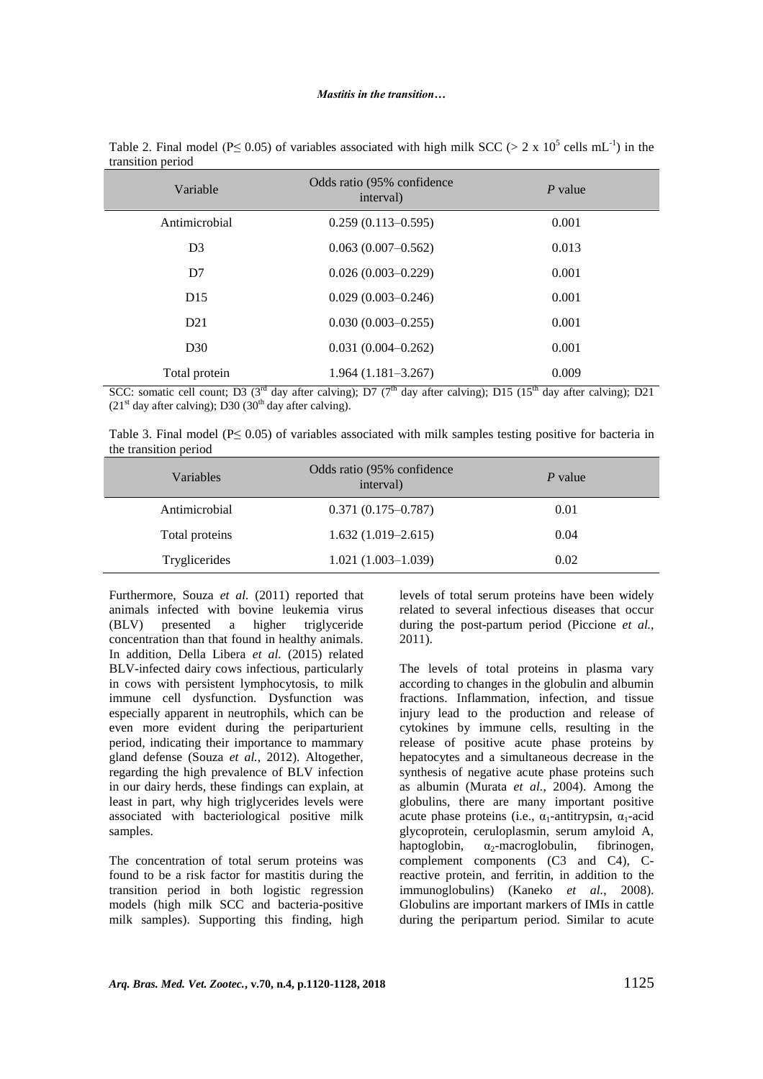| Variable       | Odds ratio (95% confidence)<br>interval) | $P$ value |  |
|----------------|------------------------------------------|-----------|--|
| Antimicrobial  | $0.259(0.113 - 0.595)$                   | 0.001     |  |
| D <sub>3</sub> | $0.063(0.007-0.562)$                     | 0.013     |  |
| D7             | $0.026(0.003 - 0.229)$                   | 0.001     |  |
| D15            | $0.029(0.003 - 0.246)$                   | 0.001     |  |
| D21            | $0.030(0.003 - 0.255)$                   | 0.001     |  |
| D30            | $0.031(0.004 - 0.262)$                   | 0.001     |  |
| Total protein  | $1.964(1.181-3.267)$                     | 0.009     |  |

Table 2. Final model (P $\leq$  0.05) of variables associated with high milk SCC (> 2 x 10<sup>5</sup> cells mL<sup>-1</sup>) in the transition period

SCC: somatic cell count; D3 ( $3<sup>rd</sup>$  day after calving); D7 ( $7<sup>th</sup>$  day after calving); D15 ( $15<sup>th</sup>$  day after calving); D21  $(21<sup>st</sup>$  day after calving); D30 (30<sup>th</sup> day after calving).

Table 3. Final model ( $P \le 0.05$ ) of variables associated with milk samples testing positive for bacteria in the transition period

| Variables            | Odds ratio (95% confidence)<br>interval) | P value |  |  |
|----------------------|------------------------------------------|---------|--|--|
| Antimicrobial        | $0.371(0.175 - 0.787)$                   | 0.01    |  |  |
| Total proteins       | $1.632(1.019-2.615)$                     | 0.04    |  |  |
| <b>Tryglicerides</b> | $1.021(1.003-1.039)$                     | 0.02    |  |  |

Furthermore, Souza *et al.* (2011) reported that animals infected with bovine leukemia virus (BLV) presented a higher triglyceride concentration than that found in healthy animals. In addition, Della Libera *et al.* (2015) related BLV-infected dairy cows infectious, particularly in cows with persistent lymphocytosis, to milk immune cell dysfunction. Dysfunction was especially apparent in neutrophils, which can be even more evident during the periparturient period, indicating their importance to mammary gland defense (Souza *et al.*, 2012). Altogether, regarding the high prevalence of BLV infection in our dairy herds, these findings can explain, at least in part, why high triglycerides levels were associated with bacteriological positive milk samples.

The concentration of total serum proteins was found to be a risk factor for mastitis during the transition period in both logistic regression models (high milk SCC and bacteria-positive milk samples). Supporting this finding, high levels of total serum proteins have been widely related to several infectious diseases that occur during the post-partum period (Piccione *et al.*, 2011).

The levels of total proteins in plasma vary according to changes in the globulin and albumin fractions. Inflammation, infection, and tissue injury lead to the production and release of cytokines by immune cells, resulting in the release of positive acute phase proteins by hepatocytes and a simultaneous decrease in the synthesis of negative acute phase proteins such as albumin (Murata *et al.*, 2004). Among the globulins, there are many important positive acute phase proteins (i.e.,  $\alpha_1$ -antitrypsin,  $\alpha_1$ -acid glycoprotein, ceruloplasmin, serum amyloid A, haptoglobin,  $\alpha_2$ -macroglobulin, fibrinogen, complement components (C3 and C4), Creactive protein, and ferritin, in addition to the immunoglobulins) (Kaneko *et al.*, 2008). Globulins are important markers of IMIs in cattle during the peripartum period. Similar to acute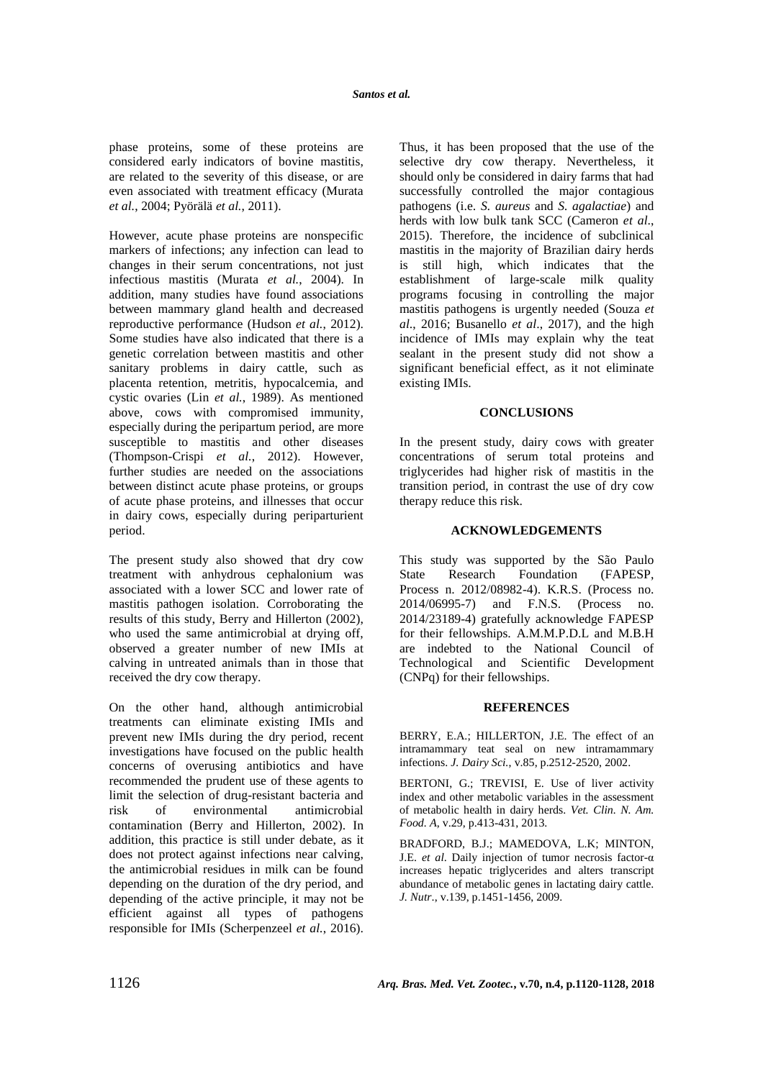phase proteins, some of these proteins are considered early indicators of bovine mastitis, are related to the severity of this disease, or are even associated with treatment efficacy (Murata *et al.*, 2004; Pyörälä *et al.*, 2011).

However, acute phase proteins are nonspecific markers of infections; any infection can lead to changes in their serum concentrations, not just infectious mastitis (Murata *et al.*, 2004). In addition, many studies have found associations between mammary gland health and decreased reproductive performance (Hudson *et al.*, 2012). Some studies have also indicated that there is a genetic correlation between mastitis and other sanitary problems in dairy cattle, such as placenta retention, metritis, hypocalcemia, and cystic ovaries (Lin *et al.*, 1989). As mentioned above, cows with compromised immunity, especially during the peripartum period, are more susceptible to mastitis and other diseases (Thompson-Crispi *et al.*, 2012). However, further studies are needed on the associations between distinct acute phase proteins, or groups of acute phase proteins, and illnesses that occur in dairy cows, especially during periparturient period.

The present study also showed that dry cow treatment with anhydrous cephalonium was associated with a lower SCC and lower rate of mastitis pathogen isolation. Corroborating the results of this study, Berry and Hillerton (2002), who used the same antimicrobial at drying off, observed a greater number of new IMIs at calving in untreated animals than in those that received the dry cow therapy.

On the other hand, although antimicrobial treatments can eliminate existing IMIs and prevent new IMIs during the dry period, recent investigations have focused on the public health concerns of overusing antibiotics and have recommended the prudent use of these agents to limit the selection of drug-resistant bacteria and risk of environmental antimicrobial contamination (Berry and Hillerton, 2002). In addition, this practice is still under debate, as it does not protect against infections near calving, the antimicrobial residues in milk can be found depending on the duration of the dry period, and depending of the active principle, it may not be efficient against all types of pathogens responsible for IMIs (Scherpenzeel *et al.*, 2016). Thus, it has been proposed that the use of the selective dry cow therapy. Nevertheless, it should only be considered in dairy farms that had successfully controlled the major contagious pathogens (i.e. *S. aureus* and *S. agalactiae*) and herds with low bulk tank SCC (Cameron *et al*., 2015). Therefore, the incidence of subclinical mastitis in the majority of Brazilian dairy herds is still high, which indicates that the establishment of large-scale milk quality programs focusing in controlling the major mastitis pathogens is urgently needed (Souza *et al*., 2016; Busanello *et al*., 2017), and the high incidence of IMIs may explain why the teat sealant in the present study did not show a significant beneficial effect, as it not eliminate existing IMIs.

## **CONCLUSIONS**

In the present study, dairy cows with greater concentrations of serum total proteins and triglycerides had higher risk of mastitis in the transition period, in contrast the use of dry cow therapy reduce this risk.

# **ACKNOWLEDGEMENTS**

This study was supported by the São Paulo State Research Foundation (FAPESP, Process n. 2012/08982-4). K.R.S. (Process no. 2014/06995-7) and F.N.S. (Process no. 2014/23189-4) gratefully acknowledge FAPESP for their fellowships. A.M.M.P.D.L and M.B.H are indebted to the National Council of Technological and Scientific Development (CNPq) for their fellowships.

# **REFERENCES**

BERRY, E.A.; HILLERTON, J.E. The effect of an intramammary teat seal on new intramammary infections. *J. Dairy Sci.*, v.85, p.2512-2520, 2002.

BERTONI, G.; TREVISI, E. Use of liver activity index and other metabolic variables in the assessment of metabolic health in dairy herds. *Vet. Clin. N. Am. Food. A*, v.29, p.413-431, 2013.

BRADFORD, B.J.; MAMEDOVA, L.K; MINTON, J.E. *et al*. Daily injection of tumor necrosis factor-α increases hepatic triglycerides and alters transcript abundance of metabolic genes in lactating dairy cattle. *J. Nutr*., v.139, p.1451-1456, 2009.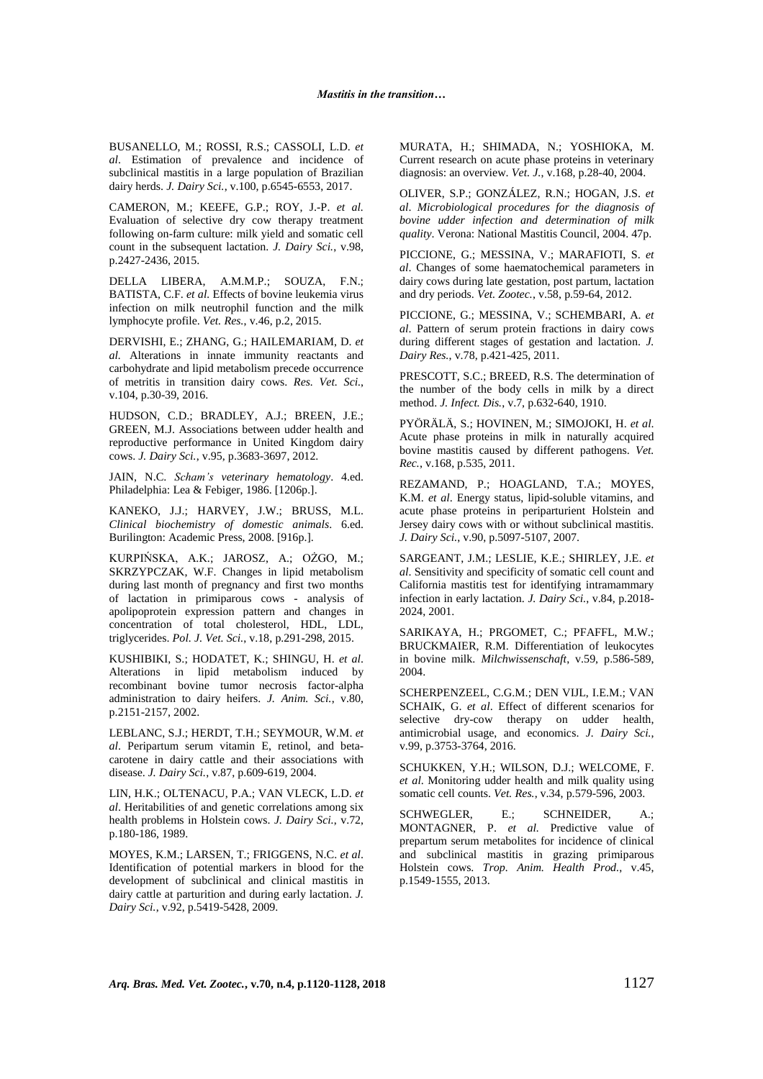BUSANELLO, M.; ROSSI, R.S.; CASSOLI, L.D. *et al*. Estimation of prevalence and incidence of subclinical mastitis in a large population of Brazilian dairy herds. *J. Dairy Sci.*, v.100, p.6545-6553, 2017.

CAMERON, M.; KEEFE, G.P.; ROY, J.-P. *et al.* Evaluation of selective dry cow therapy treatment following on-farm culture: milk yield and somatic cell count in the subsequent lactation. *J. Dairy Sci.*, v.98, p.2427-2436, 2015.

DELLA LIBERA, A.M.M.P.; SOUZA, F.N.; BATISTA, C.F. *et al.* Effects of bovine leukemia virus infection on milk neutrophil function and the milk lymphocyte profile. *Vet. Res.*, v.46, p.2, 2015.

DERVISHI, E.; ZHANG, G.; HAILEMARIAM, D. *et al.* Alterations in innate immunity reactants and carbohydrate and lipid metabolism precede occurrence of metritis in transition dairy cows. *Res. Vet. Sci.*, v.104, p.30-39, 2016.

HUDSON, C.D.; BRADLEY, A.J.; BREEN, J.E.; GREEN, M.J. Associations between udder health and reproductive performance in United Kingdom dairy cows. *J. Dairy Sci.*, v.95, p.3683-3697, 2012.

JAIN, N.C. *Scham's veterinary hematology*. 4.ed. Philadelphia: Lea & Febiger, 1986. [1206p.].

KANEKO, J.J.; HARVEY, J.W.; BRUSS, M.L. *Clinical biochemistry of domestic animals*. 6.ed. Burilington: Academic Press, 2008. [916p.].

KURPIŃSKA, A.K.; JAROSZ, A.; OŻGO, M.; SKRZYPCZAK, W.F. Changes in lipid metabolism during last month of pregnancy and first two months of lactation in primiparous cows - analysis of apolipoprotein expression pattern and changes in concentration of total cholesterol, HDL, LDL, triglycerides. *Pol. J. Vet. Sci.*, v.18, p.291-298, 2015.

KUSHIBIKI, S.; HODATET, K.; SHINGU, H. *et al*. Alterations in lipid metabolism induced by recombinant bovine tumor necrosis factor-alpha administration to dairy heifers. *J. Anim. Sci.*, v.80, p.2151-2157, 2002.

LEBLANC, S.J.; HERDT, T.H.; SEYMOUR, W.M. *et al*. Peripartum serum vitamin E, retinol, and betacarotene in dairy cattle and their associations with disease. *J. Dairy Sci.*, v.87, p.609-619, 2004.

LIN, H.K.; OLTENACU, P.A.; VAN VLECK, L.D. *et al*. Heritabilities of and genetic correlations among six health problems in Holstein cows. *J. Dairy Sci.*, v.72, p.180-186, 1989.

MOYES, K.M.; LARSEN, T.; FRIGGENS, N.C. *et al*. Identification of potential markers in blood for the development of subclinical and clinical mastitis in dairy cattle at parturition and during early lactation. *J. Dairy Sci.*, v.92, p.5419-5428, 2009.

MURATA, H.; SHIMADA, N.; YOSHIOKA, M. Current research on acute phase proteins in veterinary diagnosis: an overview. *Vet. J.*, v.168, p.28-40, 2004.

OLIVER, S.P.; GONZÁLEZ, R.N.; HOGAN, J.S. *et al*. *Microbiological procedures for the diagnosis of bovine udder infection and determination of milk quality*. Verona: National Mastitis Council, 2004. 47p.

PICCIONE, G.; MESSINA, V.; MARAFIOTI, S. *et al*. Changes of some haematochemical parameters in dairy cows during late gestation, post partum, lactation and dry periods. *Vet. Zootec.*, v.58, p.59-64, 2012.

PICCIONE, G.; MESSINA, V.; SCHEMBARI, A. *et al*. Pattern of serum protein fractions in dairy cows during different stages of gestation and lactation. *J. Dairy Res.*, v.78, p.421-425, 2011.

PRESCOTT, S.C.; BREED, R.S. The determination of the number of the body cells in milk by a direct method. *J. Infect. Dis.*, v.7, p.632-640, 1910.

PYÖRÄLÄ, S.; HOVINEN, M.; SIMOJOKI, H. *et al*. Acute phase proteins in milk in naturally acquired bovine mastitis caused by different pathogens. *Vet. Rec.*, v.168, p.535, 2011.

REZAMAND, P.; HOAGLAND, T.A.; MOYES, K.M. *et al*. Energy status, lipid-soluble vitamins, and acute phase proteins in periparturient Holstein and Jersey dairy cows with or without subclinical mastitis. *J. Dairy Sci.*, v.90, p.5097-5107, 2007.

SARGEANT, J.M.; LESLIE, K.E.; SHIRLEY, J.E. *et al*. Sensitivity and specificity of somatic cell count and California mastitis test for identifying intramammary infection in early lactation. *J. Dairy Sci.*, v.84, p.2018- 2024, 2001.

SARIKAYA, H.; PRGOMET, C.; PFAFFL, M.W.; BRUCKMAIER, R.M. Differentiation of leukocytes in bovine milk. *Milchwissenschaft*, v.59, p.586-589, 2004.

SCHERPENZEEL, C.G.M.; DEN VIJL, I.E.M.; VAN SCHAIK, G. *et al*. Effect of different scenarios for selective dry-cow therapy on udder health, antimicrobial usage, and economics. *J. Dairy Sci.*, v.99, p.3753-3764, 2016.

SCHUKKEN, Y.H.; WILSON, D.J.; WELCOME, F. *et al*. Monitoring udder health and milk quality using somatic cell counts. *Vet. Res.*, v.34, p.579-596, 2003.

SCHWEGLER, E.; SCHNEIDER, A.; MONTAGNER, P. *et al.* Predictive value of prepartum serum metabolites for incidence of clinical and subclinical mastitis in grazing primiparous Holstein cows. *Trop. Anim. Health Prod.*, v.45, p.1549-1555, 2013.